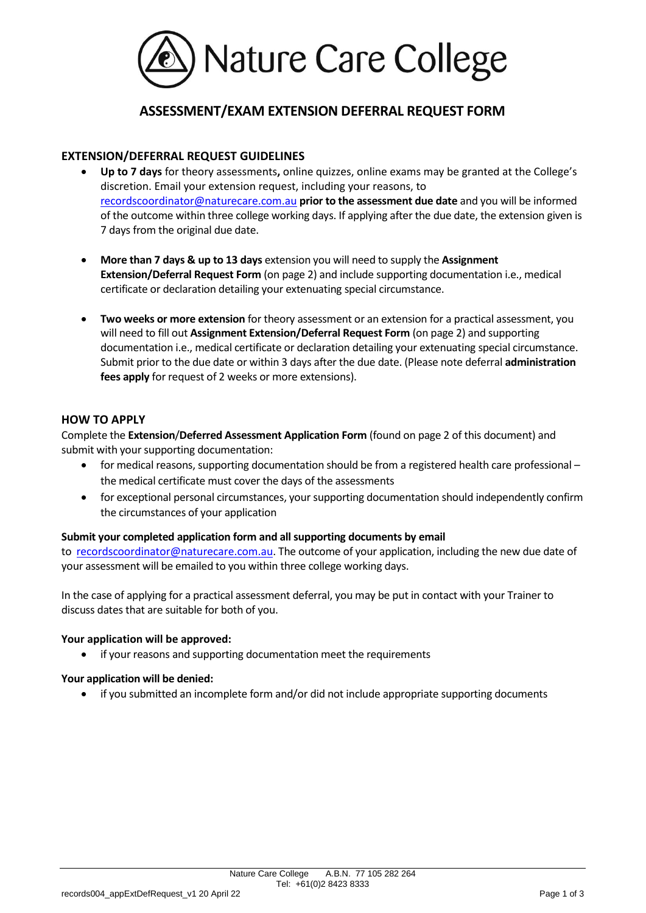

# **ASSESSMENT/EXAM EXTENSION DEFERRAL REQUEST FORM**

### **EXTENSION/DEFERRAL REQUEST GUIDELINES**

- **Up to 7 days** for theory assessments**,** online quizzes, online exams may be granted at the College's discretion. Email your extension request, including your reasons, to [recordscoordinator@naturecare.com.au](mailto:recordscoordinator@naturecare.com.au) **prior to the assessment due date** and you will be informed of the outcome within three college working days. If applying after the due date, the extension given is 7 days from the original due date.
- **More than 7 days & up to 13 days** extension you will need to supply the **Assignment Extension/Deferral Request Form** (on page 2) and include supporting documentation i.e., medical certificate or declaration detailing your extenuating special circumstance.
- **Two weeks or more extension** for theory assessment or an extension for a practical assessment, you will need to fill out **Assignment Extension/Deferral Request Form** (on page 2) and supporting documentation i.e., medical certificate or declaration detailing your extenuating special circumstance. Submit prior to the due date or within 3 days after the due date. (Please note deferral **administration fees apply** for request of 2 weeks or more extensions).

#### **HOW TO APPLY**

Complete the **Extension**/**Deferred Assessment Application Form** (found on page 2 of this document) and submit with your supporting documentation:

- for medical reasons, supporting documentation should be from a registered health care professional the medical certificate must cover the days of the assessments
- for exceptional personal circumstances, your supporting documentation should independently confirm the circumstances of your application

#### **Submit your completed application form and all supporting documents by email**

to [recordscoordinator@naturecare.com.au.](mailto:recordscoordinator@naturecare.com.au) The outcome of your application, including the new due date of your assessment will be emailed to you within three college working days.

In the case of applying for a practical assessment deferral, you may be put in contact with your Trainer to discuss dates that are suitable for both of you.

#### **Your application will be approved:**

if your reasons and supporting documentation meet the requirements

#### **Your application will be denied:**

• if you submitted an incomplete form and/or did not include appropriate supporting documents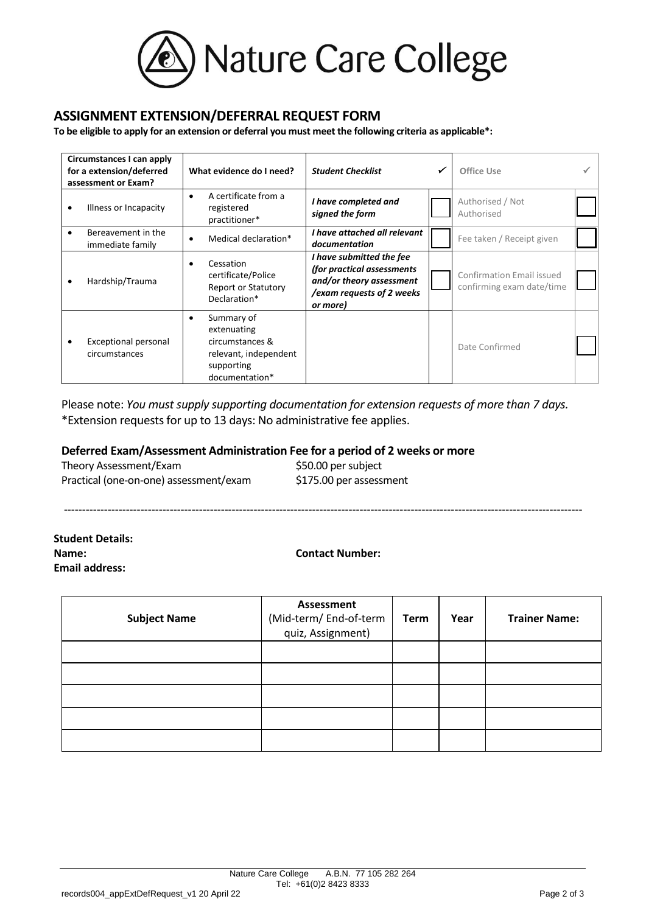

## **ASSIGNMENT EXTENSION/DEFERRAL REQUEST FORM**

**To be eligible to apply for an extension or deferral you must meet the following criteria as applicable\*:** 

| Circumstances I can apply<br>for a extension/deferred<br>assessment or Exam? |                                              | What evidence do I need?                                                                                   | <b>Student Checklist</b>                                                                                                    |  | Office Use                                             |  |
|------------------------------------------------------------------------------|----------------------------------------------|------------------------------------------------------------------------------------------------------------|-----------------------------------------------------------------------------------------------------------------------------|--|--------------------------------------------------------|--|
| $\bullet$                                                                    | Illness or Incapacity                        | A certificate from a<br>$\bullet$<br>registered<br>practitioner*                                           | I have completed and<br>signed the form                                                                                     |  | Authorised / Not<br>Authorised                         |  |
| $\bullet$                                                                    | Bereavement in the<br>immediate family       | Medical declaration*<br>$\bullet$                                                                          | I have attached all relevant<br>documentation                                                                               |  | Fee taken / Receipt given                              |  |
| $\bullet$                                                                    | Hardship/Trauma                              | Cessation<br>certificate/Police<br><b>Report or Statutory</b><br>Declaration*                              | I have submitted the fee<br>(for practical assessments<br>and/or theory assessment<br>/exam requests of 2 weeks<br>or more) |  | Confirmation Email issued<br>confirming exam date/time |  |
|                                                                              | <b>Exceptional personal</b><br>circumstances | Summary of<br>٠<br>extenuating<br>circumstances &<br>relevant, independent<br>supporting<br>documentation* |                                                                                                                             |  | Date Confirmed                                         |  |

Please note: *You must supply supporting documentation for extension requests of more than 7 days.*  \*Extension requests for up to 13 days: No administrative fee applies.

**Deferred Exam/Assessment Administration Fee for a period of 2 weeks or more** 

| Theory Assessment/Exam                 | \$50.00 per subject     |
|----------------------------------------|-------------------------|
| Practical (one-on-one) assessment/exam | \$175.00 per assessment |

**Student Details: Name: Contact Number: Email address:** 

----------------------------------------------------------------------------------------------------------------------------------------------

| <b>Subject Name</b> | Assessment<br>(Mid-term/ End-of-term<br>quiz, Assignment) | <b>Term</b> | Year | <b>Trainer Name:</b> |
|---------------------|-----------------------------------------------------------|-------------|------|----------------------|
|                     |                                                           |             |      |                      |
|                     |                                                           |             |      |                      |
|                     |                                                           |             |      |                      |
|                     |                                                           |             |      |                      |
|                     |                                                           |             |      |                      |